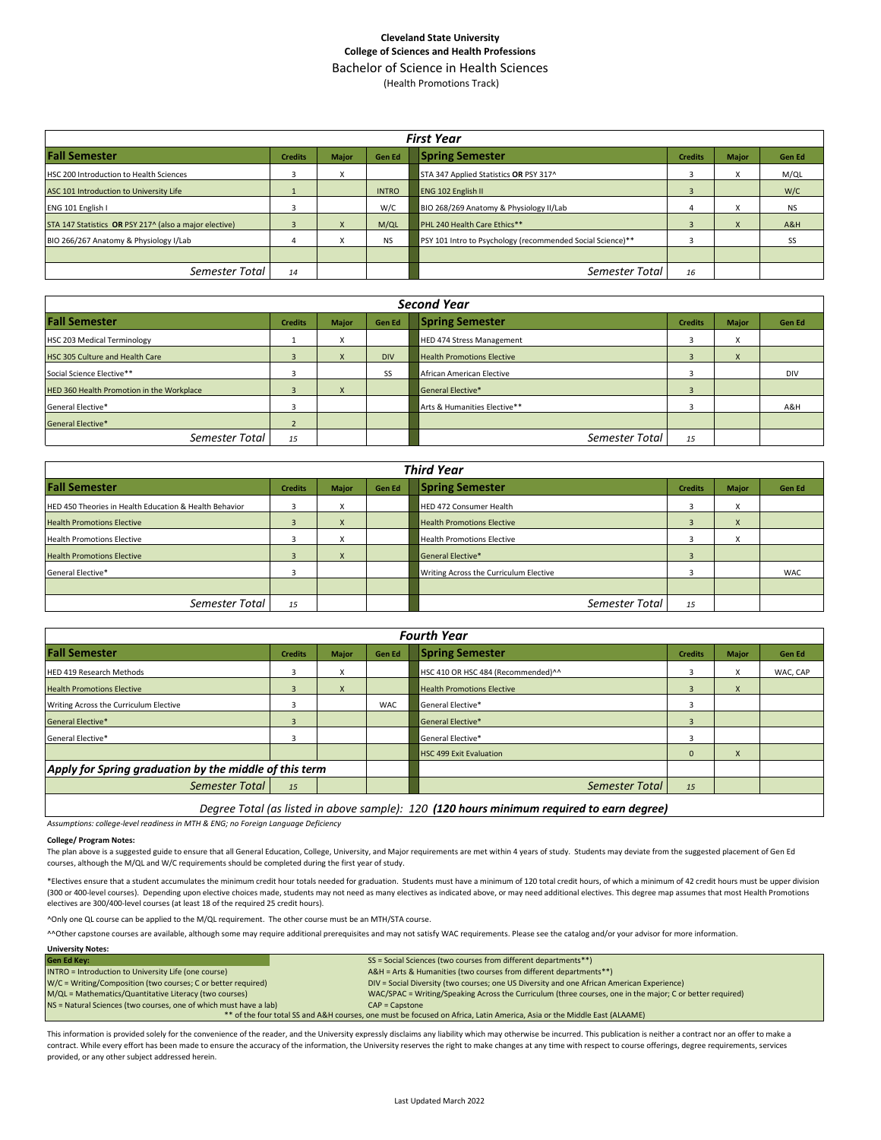### **Cleveland State University College of Sciences and Health Professions** Bachelor of Science in Health Sciences

(Health Promotions Track)

| <b>First Year</b>                                      |                |              |               |                                                            |                |              |               |  |  |  |  |
|--------------------------------------------------------|----------------|--------------|---------------|------------------------------------------------------------|----------------|--------------|---------------|--|--|--|--|
| <b>Fall Semester</b>                                   | <b>Credits</b> | <b>Major</b> | <b>Gen Ed</b> | <b>Spring Semester</b>                                     | <b>Credits</b> | <b>Major</b> | <b>Gen Ed</b> |  |  |  |  |
| HSC 200 Introduction to Health Sciences                |                |              |               | STA 347 Applied Statistics OR PSY 317^                     |                |              | M/QL          |  |  |  |  |
| ASC 101 Introduction to University Life                |                |              | <b>INTRO</b>  | <b>ENG 102 English II</b>                                  | $\overline{3}$ |              | W/C           |  |  |  |  |
| ENG 101 English I                                      |                |              | W/C           | BIO 268/269 Anatomy & Physiology II/Lab                    |                | X            | <b>NS</b>     |  |  |  |  |
| STA 147 Statistics OR PSY 217^ (also a major elective) |                | X            | M/QL          | <b>PHL 240 Health Care Ethics**</b>                        |                | X            | A&H           |  |  |  |  |
| BIO 266/267 Anatomy & Physiology I/Lab                 |                |              | <b>NS</b>     | PSY 101 Intro to Psychology (recommended Social Science)** |                |              | SS            |  |  |  |  |
|                                                        |                |              |               |                                                            |                |              |               |  |  |  |  |
| Semester Total                                         | 14             |              |               | Semester Total                                             | 16             |              |               |  |  |  |  |

| <b>Second Year</b>                        |                |              |            |                                   |                |              |        |  |  |  |  |
|-------------------------------------------|----------------|--------------|------------|-----------------------------------|----------------|--------------|--------|--|--|--|--|
| <b>Fall Semester</b>                      | <b>Credits</b> | <b>Major</b> | Gen Ed     | <b>Spring Semester</b>            | <b>Credits</b> | <b>Major</b> | Gen Ed |  |  |  |  |
| HSC 203 Medical Terminology               |                | v            |            | <b>HED 474 Stress Management</b>  |                | x            |        |  |  |  |  |
| HSC 305 Culture and Health Care           |                |              | <b>DIV</b> | <b>Health Promotions Elective</b> |                | X            |        |  |  |  |  |
| Social Science Elective**                 |                |              | SS         | African American Elective         |                |              | DIV    |  |  |  |  |
| HED 360 Health Promotion in the Workplace |                | X            |            | <b>General Elective*</b>          |                |              |        |  |  |  |  |
| General Elective*                         |                |              |            | Arts & Humanities Elective**      |                |              | A&H    |  |  |  |  |
| <b>General Elective*</b>                  |                |              |            |                                   |                |              |        |  |  |  |  |
| Semester Total                            | 15             |              |            | Semester Total                    | 15             |              |        |  |  |  |  |

| <b>Third Year</b>                                      |                |              |               |                                        |                |                        |            |  |  |  |  |
|--------------------------------------------------------|----------------|--------------|---------------|----------------------------------------|----------------|------------------------|------------|--|--|--|--|
| <b>Fall Semester</b>                                   | <b>Credits</b> | <b>Major</b> | <b>Gen Ed</b> | <b>Spring Semester</b>                 | <b>Credits</b> | <b>Major</b>           | Gen Ed     |  |  |  |  |
| HED 450 Theories in Health Education & Health Behavior |                | x            |               | HED 472 Consumer Health                |                | $\lambda$<br>$\lambda$ |            |  |  |  |  |
| <b>Health Promotions Elective</b>                      |                | X            |               | <b>Health Promotions Elective</b>      | 3              | X                      |            |  |  |  |  |
| <b>Health Promotions Elective</b>                      |                | x            |               | <b>Health Promotions Elective</b>      |                | $\lambda$              |            |  |  |  |  |
| <b>Health Promotions Elective</b>                      |                | X            |               | <b>General Elective*</b>               |                |                        |            |  |  |  |  |
| General Elective*                                      |                |              |               | Writing Across the Curriculum Elective | <b>n</b>       |                        | <b>WAC</b> |  |  |  |  |
|                                                        |                |              |               |                                        |                |                        |            |  |  |  |  |
| Semester Total                                         | 15             |              |               | Semester Total                         | 15             |                        |            |  |  |  |  |

| <b>Fourth Year</b>                                     |                |              |               |                                    |                |              |               |  |  |  |
|--------------------------------------------------------|----------------|--------------|---------------|------------------------------------|----------------|--------------|---------------|--|--|--|
| <b>Fall Semester</b>                                   | <b>Credits</b> | <b>Major</b> | <b>Gen Ed</b> | <b>Spring Semester</b>             | <b>Credits</b> | <b>Major</b> | <b>Gen Ed</b> |  |  |  |
| <b>HED 419 Research Methods</b>                        |                | x            |               | HSC 410 OR HSC 484 (Recommended)^^ |                | X            | WAC, CAP      |  |  |  |
| <b>Health Promotions Elective</b>                      | 3              | X            |               | <b>Health Promotions Elective</b>  | 3              | $\mathsf{x}$ |               |  |  |  |
| Writing Across the Curriculum Elective                 |                |              | <b>WAC</b>    | General Elective*                  | ₫              |              |               |  |  |  |
| General Elective*                                      | к              |              |               | <b>General Elective*</b>           |                |              |               |  |  |  |
| General Elective*                                      |                |              |               | General Elective*                  |                |              |               |  |  |  |
|                                                        |                |              |               | <b>HSC 499 Exit Evaluation</b>     | 0              | $\lambda$    |               |  |  |  |
| Apply for Spring graduation by the middle of this term |                |              |               |                                    |                |              |               |  |  |  |
| Semester Total                                         | 15             |              |               | Semester Total                     | 15             |              |               |  |  |  |
|                                                        |                |              |               |                                    |                |              |               |  |  |  |

*Degree Total (as listed in above sample): 120 (120 hours minimum required to earn degree)*

*Assumptions: college-level readiness in MTH & ENG; no Foreign Language Deficiency*

#### **College/ Program Notes:**

The plan above is a suggested guide to ensure that all General Education, College, University, and Major requirements are met within 4 years of study. Students may deviate from the suggested placement of Gen Ed courses, although the M/QL and W/C requirements should be completed during the first year of study.

\*Electives ensure that a student accumulates the minimum credit hour totals needed for graduation. Students must have a minimum of 120 total credit hours, of which a minimum of 42 credit hours must be upper division (300 or 400-level courses). Depending upon elective choices made, students may not need as many electives as indicated above, or may need additional electives. This degree map assumes that most Health Promotions electives are 300/400-level courses (at least 18 of the required 25 credit hours).

^Only one QL course can be applied to the M/QL requirement. The other course must be an MTH/STA course.

^^Other capstone courses are available, although some may require additional prerequisites and may not satisfy WAC requirements. Please see the catalog and/or your advisor for more information.

| <b>University Notes:</b>                                                                                                |                                                                                                           |  |  |  |  |  |  |  |
|-------------------------------------------------------------------------------------------------------------------------|-----------------------------------------------------------------------------------------------------------|--|--|--|--|--|--|--|
| <b>Gen Ed Key:</b>                                                                                                      | SS = Social Sciences (two courses from different departments**)                                           |  |  |  |  |  |  |  |
| INTRO = Introduction to University Life (one course)                                                                    | A&H = Arts & Humanities (two courses from different departments**)                                        |  |  |  |  |  |  |  |
| W/C = Writing/Composition (two courses; C or better required)                                                           | DIV = Social Diversity (two courses; one US Diversity and one African American Experience)                |  |  |  |  |  |  |  |
| M/QL = Mathematics/Quantitative Literacy (two courses)                                                                  | WAC/SPAC = Writing/Speaking Across the Curriculum (three courses, one in the major; C or better required) |  |  |  |  |  |  |  |
| NS = Natural Sciences (two courses, one of which must have a lab)                                                       | $CAP = \text{Capstone}$                                                                                   |  |  |  |  |  |  |  |
| ** of the four total SS and A&H courses, one must be focused on Africa, Latin America, Asia or the Middle East (ALAAME) |                                                                                                           |  |  |  |  |  |  |  |

This information is provided solely for the convenience of the reader, and the University expressly disclaims any liability which may otherwise be incurred. This publication is neither a contract nor an offer to make a contract. While every effort has been made to ensure the accuracy of the information, the University reserves the right to make changes at any time with respect to course offerings, degree requirements, services provided, or any other subject addressed herein.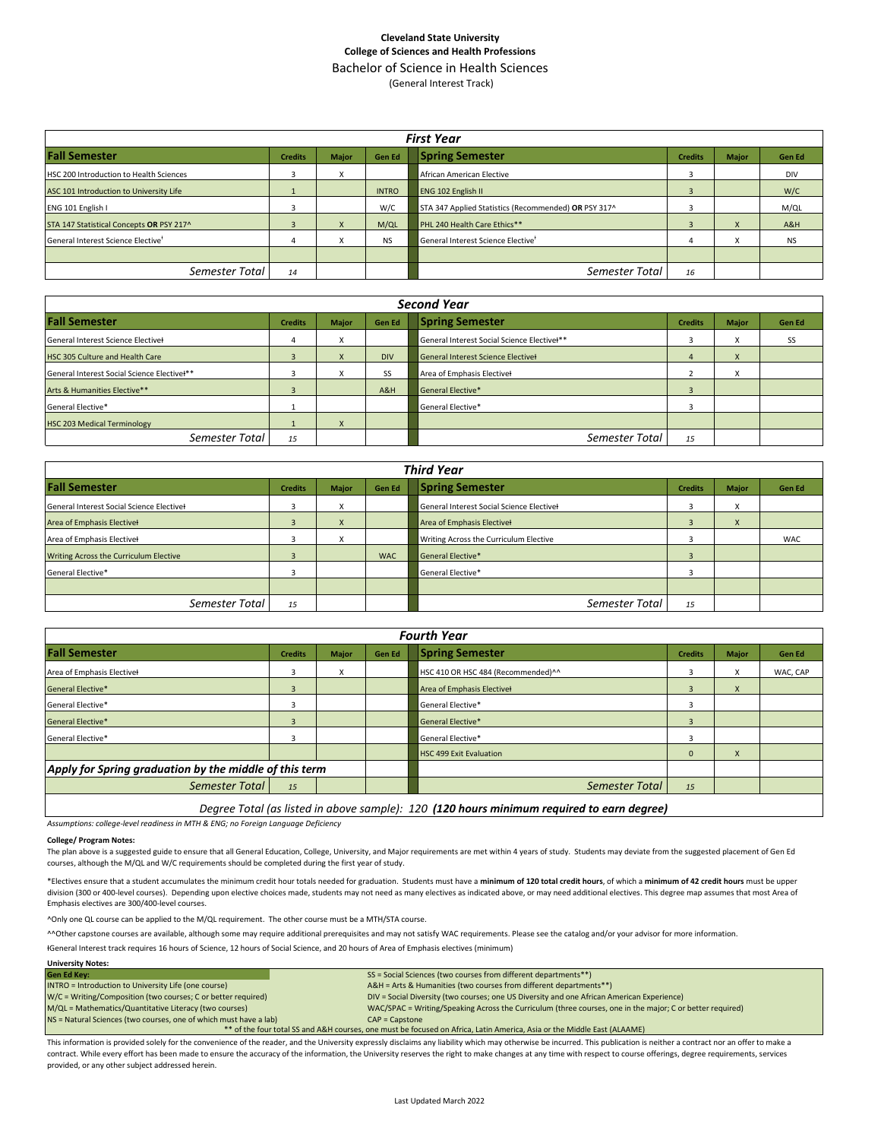## **Cleveland State University College of Sciences and Health Professions** Bachelor of Science in Health Sciences (General Interest Track)

**Fall Semester Credits Major Gen Ed Spring Semester Credits Major Gen Ed** HSC 200 Introduction to Health Sciences **1996 1999 12: A** African American Elective **3** 3 DIN ASC 101 Introduction to University Life 1 | 1 | INTRO ENG 102 English II 3 | W/C ENG 101 English I 3 W/C STA 347 Applied Statistics (Recommended) **OR** PSY 317^ 3 M/QL STA 147 Statistical Concepts **OR** PSY 217^ 3 X M/QL PHL 240 Health Care Ethics\*\* 3 X 3 X A&H General Interest Science Elective<sup>+</sup> 4 X NS General Interest Science Elective<sup>+</sup> 4 X NS *Semester Total <sup>14</sup> Semester Total <sup>16</sup> First Year*

| <b>Second Year</b>                          |                |              |               |                                             |                |              |               |  |  |  |  |
|---------------------------------------------|----------------|--------------|---------------|---------------------------------------------|----------------|--------------|---------------|--|--|--|--|
| <b>Fall Semester</b>                        | <b>Credits</b> | <b>Major</b> | <b>Gen Ed</b> | <b>Spring Semester</b>                      | <b>Credits</b> | Major        | <b>Gen Ed</b> |  |  |  |  |
| General Interest Science Electivel          |                | $\lambda$    |               | General Interest Social Science Electivel** | C              | ⋏            | SS            |  |  |  |  |
| HSC 305 Culture and Health Care             |                | X            | <b>DIV</b>    | General Interest Science Electivel          | 4              | X            |               |  |  |  |  |
| General Interest Social Science Electivel** |                | X            | SS            | Area of Emphasis Electivel                  |                | $\cdot$<br>л |               |  |  |  |  |
| Arts & Humanities Elective**                |                |              | A&H           | <b>General Elective*</b>                    | 3              |              |               |  |  |  |  |
| <b>General Elective*</b>                    |                |              |               | General Elective*                           |                |              |               |  |  |  |  |
| <b>HSC 203 Medical Terminology</b>          |                |              |               |                                             |                |              |               |  |  |  |  |
| Semester Total                              | 15             |              |               | Semester Total                              | 15             |              |               |  |  |  |  |

| <b>Third Year</b>                         |                |              |               |                                           |                |              |            |  |  |  |  |
|-------------------------------------------|----------------|--------------|---------------|-------------------------------------------|----------------|--------------|------------|--|--|--|--|
| <b>Fall Semester</b>                      | <b>Credits</b> | <b>Major</b> | <b>Gen Ed</b> | <b>Spring Semester</b>                    | <b>Credits</b> | <b>Major</b> | Gen Ed     |  |  |  |  |
| General Interest Social Science Electivel |                | x            |               | General Interest Social Science Electivel |                | x            |            |  |  |  |  |
| Area of Emphasis Electivel                |                | X            |               | Area of Emphasis Electivel                | $\overline{3}$ | X            |            |  |  |  |  |
| Area of Emphasis Electivel                |                | x            |               | Writing Across the Curriculum Elective    |                |              | <b>WAC</b> |  |  |  |  |
| Writing Across the Curriculum Elective    |                |              | <b>WAC</b>    | <b>General Elective*</b>                  |                |              |            |  |  |  |  |
| General Elective*                         |                |              |               | General Elective*                         |                |              |            |  |  |  |  |
|                                           |                |              |               |                                           |                |              |            |  |  |  |  |
| Semester Total                            | 15             |              |               | Semester Total                            | 15             |              |            |  |  |  |  |

| <b>Fourth Year</b>                                     |                |              |               |                                    |                     |       |               |  |  |  |  |
|--------------------------------------------------------|----------------|--------------|---------------|------------------------------------|---------------------|-------|---------------|--|--|--|--|
| <b>Fall Semester</b>                                   | <b>Credits</b> | <b>Major</b> | <b>Gen Ed</b> | <b>Spring Semester</b>             | <b>Credits</b>      | Major | <b>Gen Ed</b> |  |  |  |  |
| Area of Emphasis Electivel                             |                | x            |               | HSC 410 OR HSC 484 (Recommended)^^ | 3                   | x     | WAC, CAP      |  |  |  |  |
| <b>General Elective*</b>                               | з              |              |               | Area of Emphasis Electivel         | 3                   | X     |               |  |  |  |  |
| General Elective*                                      |                |              |               | General Elective*                  | $\overline{ }$<br>đ |       |               |  |  |  |  |
| General Elective*                                      |                |              |               | General Elective*                  | $\overline{3}$      |       |               |  |  |  |  |
| General Elective*                                      |                |              |               | General Elective*                  | $\overline{ }$<br>3 |       |               |  |  |  |  |
|                                                        |                |              |               | <b>HSC 499 Exit Evaluation</b>     | $\mathbf 0$         | X     |               |  |  |  |  |
| Apply for Spring graduation by the middle of this term |                |              |               |                                    |                     |       |               |  |  |  |  |
| Semester Total                                         | 15             |              |               | Semester Total                     | 15                  |       |               |  |  |  |  |
|                                                        |                |              |               |                                    |                     |       |               |  |  |  |  |

*Degree Total (as listed in above sample): 120 (120 hours minimum required to earn degree)*

*Assumptions: college-level readiness in MTH & ENG; no Foreign Language Deficiency*

#### **College/ Program Notes:**

**University Notes:**

The plan above is a suggested guide to ensure that all General Education, College, University, and Major requirements are met within 4 years of study. Students may deviate from the suggested placement of Gen Ed courses, although the M/QL and W/C requirements should be completed during the first year of study.

\*Electives ensure that a student accumulates the minimum credit hour totals needed for graduation. Students must have a **minimum of 120 total credit hours**, of which a **minimum of 42 credit hours** must be upper division (300 or 400-level courses). Depending upon elective choices made, students may not need as many electives as indicated above, or may need additional electives. This degree map assumes that most Area of Emphasis electives are 300/400-level courses.

^Only one QL course can be applied to the M/QL requirement. The other course must be a MTH/STA course.

^^Other capstone courses are available, although some may require additional prerequisites and may not satisfy WAC requirements. Please see the catalog and/or your advisor for more information.

ƗGeneral Interest track requires 16 hours of Science, 12 hours of Social Science, and 20 hours of Area of Emphasis electives (minimum)

| <b>Gen Ed Key:</b>                                                                                                      | SS = Social Sciences (two courses from different departments**)                                           |  |  |  |  |  |  |  |
|-------------------------------------------------------------------------------------------------------------------------|-----------------------------------------------------------------------------------------------------------|--|--|--|--|--|--|--|
| INTRO = Introduction to University Life (one course)                                                                    | A&H = Arts & Humanities (two courses from different departments**)                                        |  |  |  |  |  |  |  |
| W/C = Writing/Composition (two courses; C or better required)                                                           | DIV = Social Diversity (two courses; one US Diversity and one African American Experience)                |  |  |  |  |  |  |  |
| M/QL = Mathematics/Quantitative Literacy (two courses)                                                                  | WAC/SPAC = Writing/Speaking Across the Curriculum (three courses, one in the major; C or better required) |  |  |  |  |  |  |  |
| NS = Natural Sciences (two courses, one of which must have a lab)                                                       | $CAP = \text{Capstone}$                                                                                   |  |  |  |  |  |  |  |
| ** of the four total SS and A&H courses, one must be focused on Africa, Latin America, Asia or the Middle East (ALAAME) |                                                                                                           |  |  |  |  |  |  |  |
|                                                                                                                         |                                                                                                           |  |  |  |  |  |  |  |

This information is provided solely for the convenience of the reader, and the University expressly disclaims any liability which may otherwise be incurred. This publication is neither a contract nor an offer to make a contract. While every effort has been made to ensure the accuracy of the information, the University reserves the right to make changes at any time with respect to course offerings, degree requirements, services provided, or any other subject addressed herein.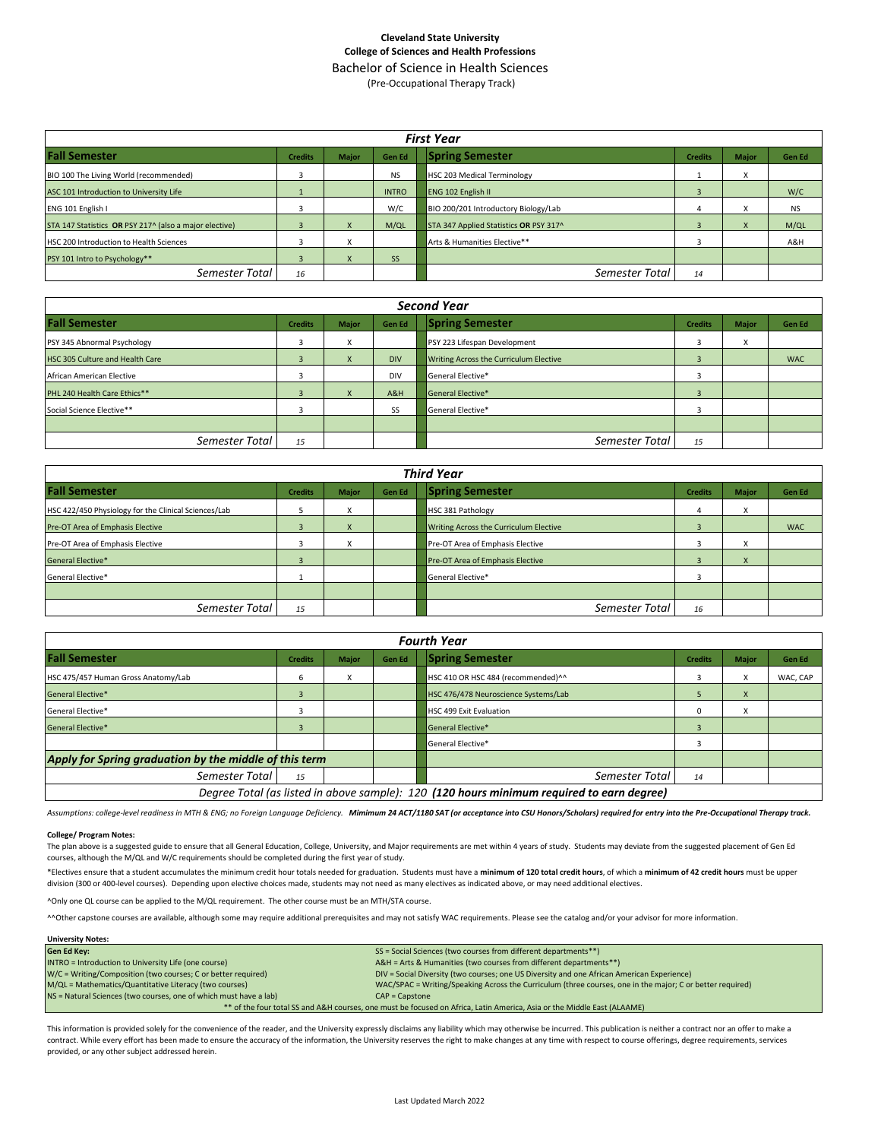### **Cleveland State University College of Sciences and Health Professions** Bachelor of Science in Health Sciences

(Pre-Occupational Therapy Track)

| <b>First Year</b>                                      |                |                                        |              |                                        |                |                        |               |  |  |  |  |
|--------------------------------------------------------|----------------|----------------------------------------|--------------|----------------------------------------|----------------|------------------------|---------------|--|--|--|--|
| <b>Fall Semester</b>                                   | <b>Credits</b> | Major                                  | Gen Ed       | <b>Spring Semester</b>                 | <b>Credits</b> | Major                  | <b>Gen Ed</b> |  |  |  |  |
| BIO 100 The Living World (recommended)                 |                |                                        | <b>NS</b>    | <b>HSC 203 Medical Terminology</b>     |                |                        |               |  |  |  |  |
| ASC 101 Introduction to University Life                |                |                                        | <b>INTRO</b> | <b>ENG 102 English II</b>              |                |                        | W/C           |  |  |  |  |
| ENG 101 English I                                      |                |                                        | W/C          | BIO 200/201 Introductory Biology/Lab   |                | $\lambda$              | <b>NS</b>     |  |  |  |  |
| STA 147 Statistics OR PSY 217^ (also a major elective) |                |                                        | M/QL         | STA 347 Applied Statistics OR PSY 317^ |                | $\boldsymbol{\lambda}$ | M/QL          |  |  |  |  |
| <b>HSC 200 Introduction to Health Sciences</b>         |                | X                                      |              | Arts & Humanities Elective**           |                |                        | A&H           |  |  |  |  |
| PSY 101 Intro to Psychology**                          |                | $\overline{\mathbf{v}}$<br>$\mathbf x$ | <b>SS</b>    |                                        |                |                        |               |  |  |  |  |
| Semester Total                                         | 16             |                                        |              | Semester Total                         | 14             |                        |               |  |  |  |  |

| <b>Second Year</b>              |                |              |            |                                        |                |                        |               |  |  |  |  |
|---------------------------------|----------------|--------------|------------|----------------------------------------|----------------|------------------------|---------------|--|--|--|--|
| <b>Fall Semester</b>            | <b>Credits</b> | <b>Major</b> | Gen Ed     | <b>Spring Semester</b>                 | <b>Credits</b> | Major                  | <b>Gen Ed</b> |  |  |  |  |
| PSY 345 Abnormal Psychology     | 3              | v            |            | PSY 223 Lifespan Development           |                | $\lambda$<br>$\lambda$ |               |  |  |  |  |
| HSC 305 Culture and Health Care |                | $\mathbf{A}$ | <b>DIV</b> | Writing Across the Curriculum Elective |                |                        | <b>WAC</b>    |  |  |  |  |
| African American Elective       | 3              |              | <b>DIV</b> | General Elective*                      |                |                        |               |  |  |  |  |
| PHL 240 Health Care Ethics**    |                |              | A&H        | General Elective*                      |                |                        |               |  |  |  |  |
| Social Science Elective**       |                |              | SS         | General Elective*                      |                |                        |               |  |  |  |  |
|                                 |                |              |            |                                        |                |                        |               |  |  |  |  |
| Semester Total                  | 15             |              |            | Semester Total                         | 15             |                        |               |  |  |  |  |

| <b>Third Year</b>                                    |                |              |               |                                         |                |              |               |  |  |  |  |
|------------------------------------------------------|----------------|--------------|---------------|-----------------------------------------|----------------|--------------|---------------|--|--|--|--|
| <b>Fall Semester</b>                                 | <b>Credits</b> | <b>Major</b> | <b>Gen Ed</b> | <b>Spring Semester</b>                  | <b>Credits</b> | <b>Major</b> | <b>Gen Ed</b> |  |  |  |  |
| HSC 422/450 Physiology for the Clinical Sciences/Lab |                | x            |               | <b>HSC 381 Pathology</b>                |                | $\lambda$    |               |  |  |  |  |
| Pre-OT Area of Emphasis Elective                     |                | X            |               | Writing Across the Curriculum Elective  |                |              | <b>WAC</b>    |  |  |  |  |
| Pre-OT Area of Emphasis Elective                     |                |              |               | Pre-OT Area of Emphasis Elective        |                |              |               |  |  |  |  |
| General Elective*                                    |                |              |               | <b>Pre-OT Area of Emphasis Elective</b> |                |              |               |  |  |  |  |
| General Elective*                                    |                |              |               | General Elective*                       |                |              |               |  |  |  |  |
|                                                      |                |              |               |                                         |                |              |               |  |  |  |  |
| Semester Total                                       | 15             |              |               | Semester Total                          | 16             |              |               |  |  |  |  |

| <b>Fourth Year</b>                                                                        |                |              |               |                                      |                |              |               |
|-------------------------------------------------------------------------------------------|----------------|--------------|---------------|--------------------------------------|----------------|--------------|---------------|
| <b>Fall Semester</b>                                                                      | <b>Credits</b> | <b>Maior</b> | <b>Gen Ed</b> | <b>Spring Semester</b>               | <b>Credits</b> | <b>Major</b> | <b>Gen Ed</b> |
| HSC 475/457 Human Gross Anatomy/Lab                                                       | 6              | x            |               | HSC 410 OR HSC 484 (recommended)^^   |                |              | WAC, CAP      |
| <b>General Elective*</b>                                                                  | $\overline{3}$ |              |               | HSC 476/478 Neuroscience Systems/Lab |                | X            |               |
| General Elective*                                                                         |                |              |               | HSC 499 Exit Evaluation              | $\Omega$       | ж            |               |
| <b>General Elective*</b>                                                                  | 3              |              |               | <b>General Elective*</b>             |                |              |               |
|                                                                                           |                |              |               | General Elective*                    |                |              |               |
| Apply for Spring graduation by the middle of this term                                    |                |              |               |                                      |                |              |               |
| Semester Total                                                                            | 15             |              |               | Semester Total                       | 14             |              |               |
| Degree Total (as listed in above sample): 120 (120 hours minimum required to earn degree) |                |              |               |                                      |                |              |               |

*Assumptions: college-level readiness in MTH & ENG; no Foreign Language Deficiency. Mimimum 24 ACT/1180 SAT (or acceptance into CSU Honors/Scholars) required for entry into the Pre-Occupational Therapy track.*

#### **College/ Program Notes:**

The plan above is a suggested guide to ensure that all General Education, College, University, and Major requirements are met within 4 years of study. Students may deviate from the suggested placement of Gen Ed courses, although the M/QL and W/C requirements should be completed during the first year of study.

\*Electives ensure that a student accumulates the minimum credit hour totals needed for graduation. Students must have a **minimum of 120 total credit hours**, of which a **minimum of 42 credit hours** must be upper division (300 or 400-level courses). Depending upon elective choices made, students may not need as many electives as indicated above, or may need additional electives.

^Only one QL course can be applied to the M/QL requirement. The other course must be an MTH/STA course.

^^Other capstone courses are available, although some may require additional prerequisites and may not satisfy WAC requirements. Please see the catalog and/or your advisor for more information.

| SS = Social Sciences (two courses from different departments**)                                                         |
|-------------------------------------------------------------------------------------------------------------------------|
| A&H = Arts & Humanities (two courses from different departments**)                                                      |
| DIV = Social Diversity (two courses; one US Diversity and one African American Experience)                              |
| WAC/SPAC = Writing/Speaking Across the Curriculum (three courses, one in the major; C or better required)               |
|                                                                                                                         |
| ** of the four total SS and A&H courses, one must be focused on Africa, Latin America, Asia or the Middle East (ALAAME) |
|                                                                                                                         |

This information is provided solely for the convenience of the reader, and the University expressly disclaims any liability which may otherwise be incurred. This publication is neither a contract nor an offer to make a contract. While every effort has been made to ensure the accuracy of the information, the University reserves the right to make changes at any time with respect to course offerings, degree requirements, services provided, or any other subject addressed herein.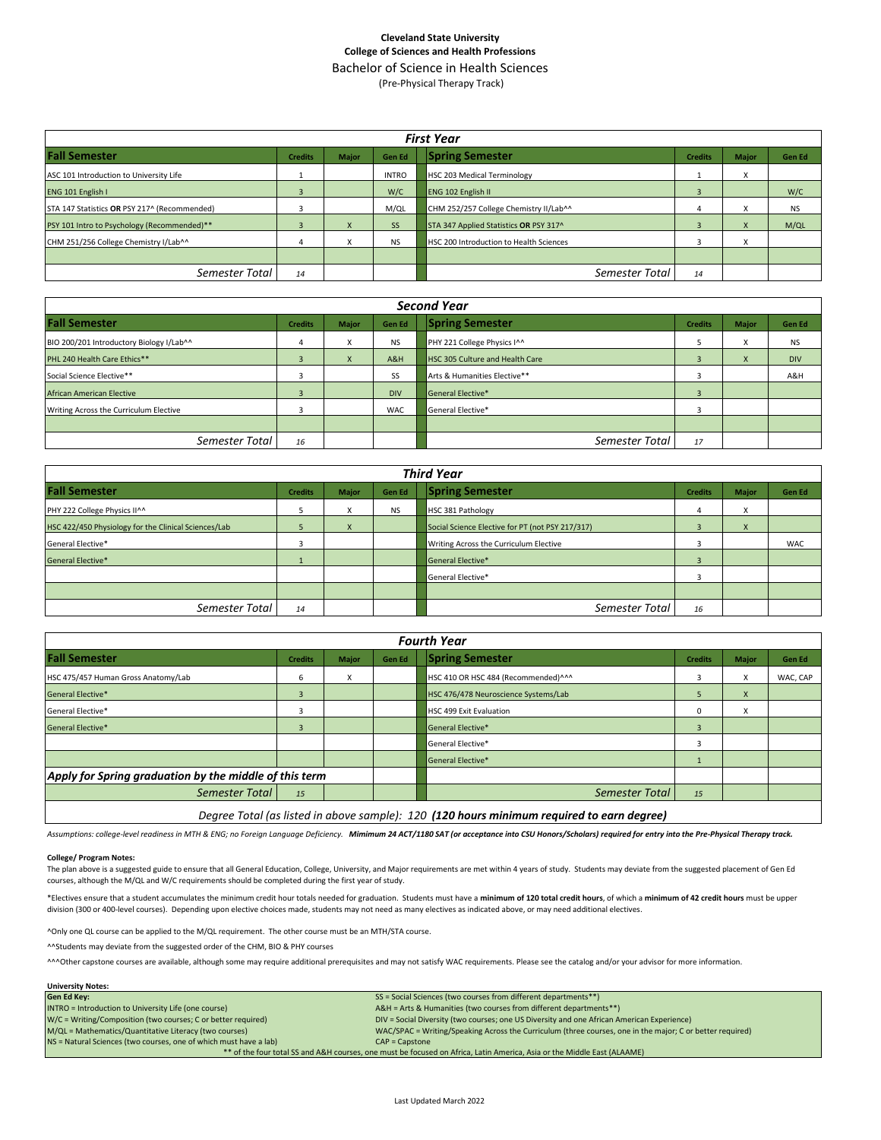## **Cleveland State University College of Sciences and Health Professions** Bachelor of Science in Health Sciences

(Pre-Physical Therapy Track)

| <b>First Year</b>                            |                |              |               |                                         |                |                   |           |
|----------------------------------------------|----------------|--------------|---------------|-----------------------------------------|----------------|-------------------|-----------|
| <b>Fall Semester</b>                         | <b>Credits</b> | <b>Major</b> | <b>Gen Ed</b> | <b>Spring Semester</b>                  | <b>Credits</b> | <b>Major</b>      | Gen Ed    |
| ASC 101 Introduction to University Life      |                |              | <b>INTRO</b>  | HSC 203 Medical Terminology             |                |                   |           |
| ENG 101 English I                            | 3              |              | W/C           | ENG 102 English II                      |                |                   | W/C       |
| STA 147 Statistics OR PSY 217^ (Recommended) | 3              |              | M/QL          | CHM 252/257 College Chemistry II/Lab^^  |                | ж                 | <b>NS</b> |
| PSY 101 Intro to Psychology (Recommended)**  | В              |              | <b>SS</b>     | STA 347 Applied Statistics OR PSY 317^  |                | л                 | M/QL      |
| CHM 251/256 College Chemistry I/Lab^^        |                |              | <b>NS</b>     | HSC 200 Introduction to Health Sciences |                | $\checkmark$<br>ж |           |
|                                              |                |              |               |                                         |                |                   |           |
| Semester Total                               | 14             |              |               | Semester Total                          | 14             |                   |           |

| <b>Second Year</b>                       |                |              |            |                                 |                |              |               |
|------------------------------------------|----------------|--------------|------------|---------------------------------|----------------|--------------|---------------|
| <b>Fall Semester</b>                     | <b>Credits</b> | <b>Major</b> | Gen Ed     | <b>Spring Semester</b>          | <b>Credits</b> | <b>Major</b> | <b>Gen Ed</b> |
| BIO 200/201 Introductory Biology I/Lab^^ | 4              | X            | <b>NS</b>  | PHY 221 College Physics I^^     |                | $\lambda$    | <b>NS</b>     |
| PHL 240 Health Care Ethics**             |                | X            | A&H        | HSC 305 Culture and Health Care |                | $\lambda$    | <b>DIV</b>    |
| Social Science Elective**                |                |              | SS         | Arts & Humanities Elective**    |                |              | A&H           |
| <b>African American Elective</b>         |                |              | <b>DIV</b> | General Elective*               |                |              |               |
| Writing Across the Curriculum Elective   |                |              | <b>WAC</b> | General Elective*               |                |              |               |
|                                          |                |              |            |                                 |                |              |               |
| Semester Total                           | 16             |              |            | Semester Total                  | 17             |              |               |

| <b>Third Year</b>                                    |                |       |               |                                                  |                |                      |               |
|------------------------------------------------------|----------------|-------|---------------|--------------------------------------------------|----------------|----------------------|---------------|
| <b>Fall Semester</b>                                 | <b>Credits</b> | Major | <b>Gen Ed</b> | <b>Spring Semester</b>                           | <b>Credits</b> | <b>Major</b>         | <b>Gen Ed</b> |
| PHY 222 College Physics II^^                         |                | x     | <b>NS</b>     | <b>HSC 381 Pathology</b>                         |                | $\cdot$<br>$\lambda$ |               |
| HSC 422/450 Physiology for the Clinical Sciences/Lab |                | X     |               | Social Science Elective for PT (not PSY 217/317) |                | $\mathbf{\Lambda}$   |               |
| General Elective*                                    |                |       |               | Writing Across the Curriculum Elective           |                |                      | <b>WAC</b>    |
| General Elective*                                    |                |       |               | General Elective*                                |                |                      |               |
|                                                      |                |       |               | General Elective*                                |                |                      |               |
|                                                      |                |       |               |                                                  |                |                      |               |
| Semester Total                                       | 14             |       |               | Semester Total                                   | 16             |                      |               |

| <b>Fourth Year</b>                                     |                                                                                           |              |               |                                      |                |              |          |  |
|--------------------------------------------------------|-------------------------------------------------------------------------------------------|--------------|---------------|--------------------------------------|----------------|--------------|----------|--|
| <b>Fall Semester</b>                                   | <b>Credits</b>                                                                            | <b>Major</b> | <b>Gen Ed</b> | <b>Spring Semester</b>               | <b>Credits</b> | <b>Major</b> | Gen Ed   |  |
| HSC 475/457 Human Gross Anatomy/Lab                    | 6                                                                                         | X            |               | HSC 410 OR HSC 484 (Recommended)^^^  |                | X            | WAC, CAP |  |
| <b>General Elective*</b>                               | $\overline{3}$                                                                            |              |               | HSC 476/478 Neuroscience Systems/Lab |                | X            |          |  |
| General Elective*                                      | 3                                                                                         |              |               | HSC 499 Exit Evaluation              |                | X            |          |  |
| <b>General Elective*</b>                               | $\overline{3}$                                                                            |              |               | <b>General Elective*</b>             | 3              |              |          |  |
|                                                        |                                                                                           |              |               | <b>General Elective*</b>             | 3              |              |          |  |
|                                                        |                                                                                           |              |               | General Elective*                    |                |              |          |  |
| Apply for Spring graduation by the middle of this term |                                                                                           |              |               |                                      |                |              |          |  |
| Semester Total                                         | 15                                                                                        |              |               | Semester Total                       | 15             |              |          |  |
|                                                        | Degree Total (as listed in above sample): 120 (120 hours minimum required to earn degree) |              |               |                                      |                |              |          |  |

*Assumptions: college-level readiness in MTH & ENG; no Foreign Language Deficiency. Mimimum 24 ACT/1180 SAT (or acceptance into CSU Honors/Scholars) required for entry into the Pre-Physical Therapy track.*

#### **College/ Program Notes:**

**University Notes:**

The plan above is a suggested guide to ensure that all General Education, College, University, and Major requirements are met within 4 years of study. Students may deviate from the suggested placement of Gen Ed courses, although the M/QL and W/C requirements should be completed during the first year of study.

\*Electives ensure that a student accumulates the minimum credit hour totals needed for graduation. Students must have a **minimum of 120 total credit hours**, of which a **minimum of 42 credit hours** must be upper division (300 or 400-level courses). Depending upon elective choices made, students may not need as many electives as indicated above, or may need additional electives.

^Only one QL course can be applied to the M/QL requirement. The other course must be an MTH/STA course.

^^Students may deviate from the suggested order of the CHM, BIO & PHY courses

AAAOther capstone courses are available, although some may require additional prerequisites and may not satisfy WAC requirements. Please see the catalog and/or your advisor for more information.

| <b>Gen Ed Key:</b>                                                                                                      | SS = Social Sciences (two courses from different departments**)                                           |  |  |  |  |
|-------------------------------------------------------------------------------------------------------------------------|-----------------------------------------------------------------------------------------------------------|--|--|--|--|
| INTRO = Introduction to University Life (one course)                                                                    | A&H = Arts & Humanities (two courses from different departments**)                                        |  |  |  |  |
| W/C = Writing/Composition (two courses; C or better required)                                                           | DIV = Social Diversity (two courses; one US Diversity and one African American Experience)                |  |  |  |  |
| M/QL = Mathematics/Quantitative Literacy (two courses)                                                                  | WAC/SPAC = Writing/Speaking Across the Curriculum (three courses, one in the major; C or better required) |  |  |  |  |
| NS = Natural Sciences (two courses, one of which must have a lab)                                                       | $CAP = \text{Capstone}$                                                                                   |  |  |  |  |
| ** of the four total SS and A&H courses, one must be focused on Africa, Latin America, Asia or the Middle East (ALAAME) |                                                                                                           |  |  |  |  |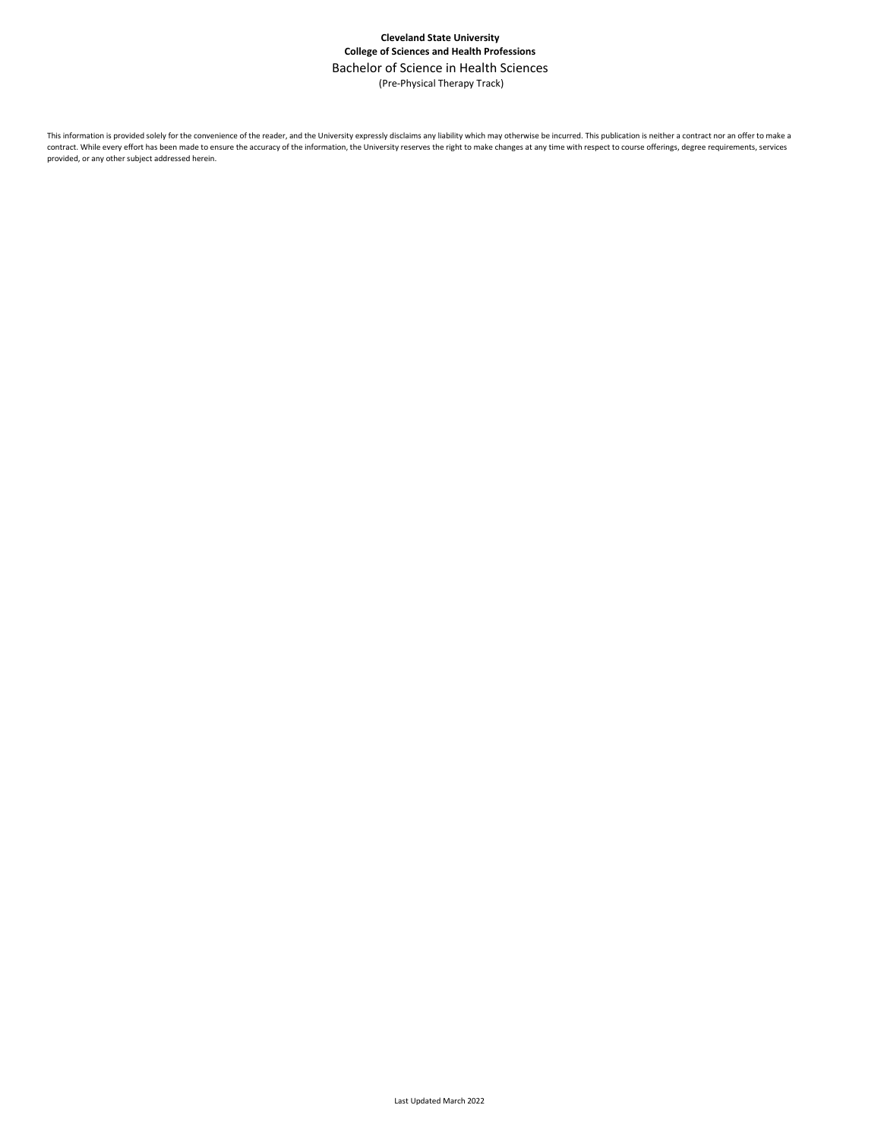## **Cleveland State University College of Sciences and Health Professions** Bachelor of Science in Health Sciences (Pre-Physical Therapy Track)

This information is provided solely for the convenience of the reader, and the University expressly disclaims any liability which may otherwise be incurred. This publication is neither a contract nor an offer to make a contract. While every effort has been made to ensure the accuracy of the information, the University reserves the right to make changes at any time with respect to course offerings, degree requirements, services provided, or any other subject addressed herein.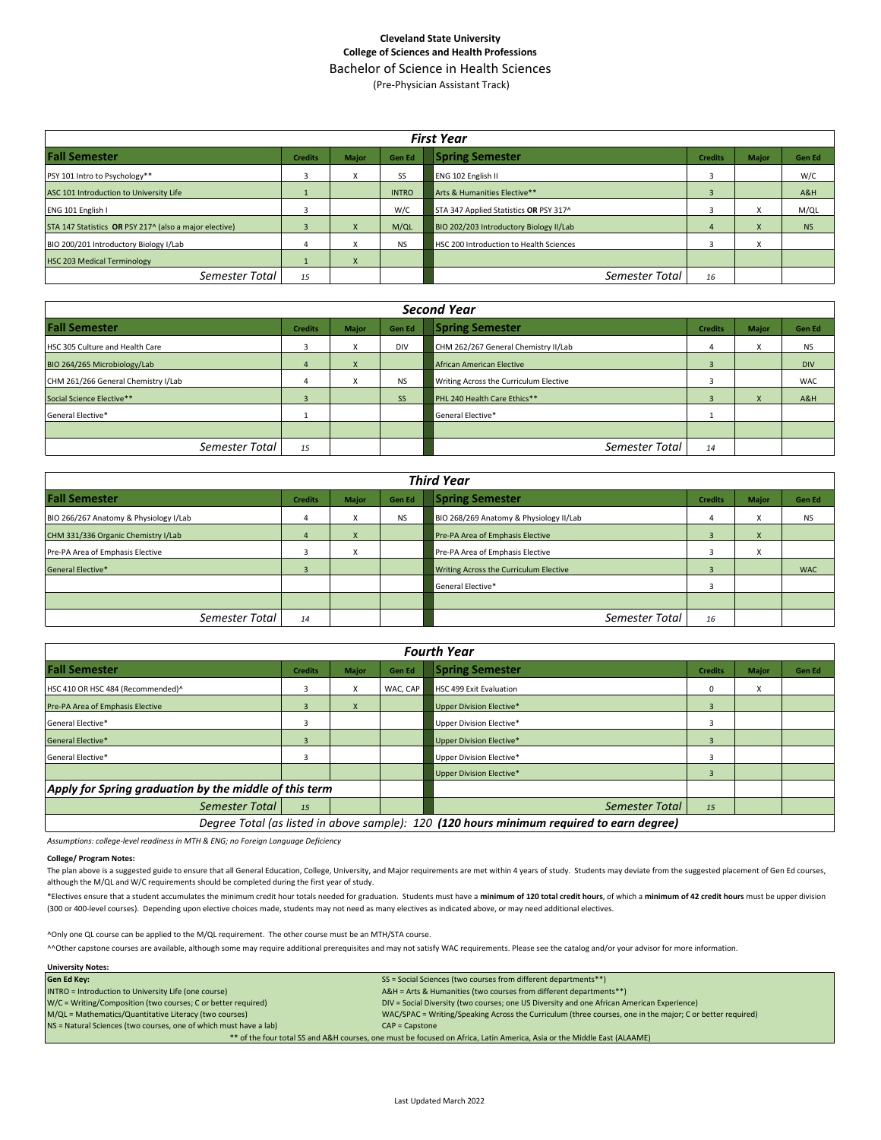## **Cleveland State University College of Sciences and Health Professions**

Bachelor of Science in Health Sciences (Pre-Physician Assistant Track)

| <b>First Year</b>                                      |                |                                   |               |                                         |                |                                      |           |  |
|--------------------------------------------------------|----------------|-----------------------------------|---------------|-----------------------------------------|----------------|--------------------------------------|-----------|--|
| <b>Fall Semester</b>                                   | <b>Credits</b> | Major                             | <b>Gen Ed</b> | <b>Spring Semester</b>                  | <b>Credits</b> | <b>Major</b>                         | Gen Ed    |  |
| PSY 101 Intro to Psychology**                          | 3              |                                   | SS            | <b>ENG 102 English II</b>               |                |                                      | W/C       |  |
| ASC 101 Introduction to University Life                |                |                                   | <b>INTRO</b>  | Arts & Humanities Elective**            |                |                                      | A&H       |  |
| ENG 101 English I                                      |                |                                   | W/C           | STA 347 Applied Statistics OR PSY 317^  |                |                                      | M/QL      |  |
| STA 147 Statistics OR PSY 217^ (also a major elective) |                |                                   | M/QL          | BIO 202/203 Introductory Biology II/Lab |                |                                      | <b>NS</b> |  |
| BIO 200/201 Introductory Biology I/Lab                 | 4              | $\ddot{\phantom{0}}$<br>$\lambda$ | <b>NS</b>     | HSC 200 Introduction to Health Sciences |                | $\overline{\mathbf{v}}$<br>$\lambda$ |           |  |
| <b>HSC 203 Medical Terminology</b>                     |                | $\mathbf{A}$                      |               |                                         |                |                                      |           |  |
| Semester Total                                         | 15             |                                   |               | Semester Total                          | 16             |                                      |           |  |

| <b>Second Year</b>                  |                |                              |               |                                        |                |              |            |  |
|-------------------------------------|----------------|------------------------------|---------------|----------------------------------------|----------------|--------------|------------|--|
| <b>Fall Semester</b>                | <b>Credits</b> | <b>Major</b>                 | <b>Gen Ed</b> | <b>Spring Semester</b>                 | <b>Credits</b> | <b>Major</b> | Gen Ed     |  |
| HSC 305 Culture and Health Care     | 3              |                              | <b>DIV</b>    | CHM 262/267 General Chemistry II/Lab   |                | A            | NS         |  |
| BIO 264/265 Microbiology/Lab        | $\overline{a}$ | $\overline{\mathbf{v}}$<br>X |               | African American Elective              |                |              | <b>DIV</b> |  |
| CHM 261/266 General Chemistry I/Lab | 4              | ж                            | <b>NS</b>     | Writing Across the Curriculum Elective |                |              | <b>WAC</b> |  |
| Social Science Elective**           |                |                              | SS            | PHL 240 Health Care Ethics**           |                |              | A&H        |  |
| General Elective*                   |                |                              |               | General Elective*                      |                |              |            |  |
|                                     |                |                              |               |                                        |                |              |            |  |
| Semester Total                      | 15             |                              |               | Semester Total                         | 14             |              |            |  |

| <b>Third Year</b>                      |                |                                      |           |                                         |                |              |               |
|----------------------------------------|----------------|--------------------------------------|-----------|-----------------------------------------|----------------|--------------|---------------|
| <b>Fall Semester</b>                   | <b>Credits</b> | <b>Major</b>                         | Gen Ed    | <b>Spring Semester</b>                  | <b>Credits</b> | <b>Major</b> | <b>Gen Ed</b> |
| BIO 266/267 Anatomy & Physiology I/Lab | 4              | $\mathbf{x}$                         | <b>NS</b> | BIO 268/269 Anatomy & Physiology II/Lab |                | x            | NS            |
| CHM 331/336 Organic Chemistry I/Lab    | $\overline{4}$ | $\overline{\mathbf{v}}$<br>$\lambda$ |           | Pre-PA Area of Emphasis Elective        |                | X            |               |
| Pre-PA Area of Emphasis Elective       | 3              |                                      |           | Pre-PA Area of Emphasis Elective        |                |              |               |
| <b>General Elective*</b>               | $\overline{a}$ |                                      |           | Writing Across the Curriculum Elective  |                |              | <b>WAC</b>    |
|                                        |                |                                      |           | General Elective*                       |                |              |               |
|                                        |                |                                      |           |                                         |                |              |               |
| Semester Total                         | 14             |                                      |           | Semester Total                          | 16             |              |               |

| <b>Fourth Year</b>                                     |                                                                                           |              |          |                                 |                         |              |        |
|--------------------------------------------------------|-------------------------------------------------------------------------------------------|--------------|----------|---------------------------------|-------------------------|--------------|--------|
| <b>Fall Semester</b>                                   | <b>Credits</b>                                                                            | <b>Major</b> | Gen Ed   | <b>Spring Semester</b>          | <b>Credits</b>          | <b>Major</b> | Gen Ed |
| HSC 410 OR HSC 484 (Recommended)^                      | 3                                                                                         | X            | WAC, CAP | <b>HSC 499 Exit Evaluation</b>  | $\Omega$                | X            |        |
| Pre-PA Area of Emphasis Elective                       | 3                                                                                         | X            |          | Upper Division Elective*        |                         |              |        |
| General Elective*                                      | 3                                                                                         |              |          | Upper Division Elective*        |                         |              |        |
| <b>General Elective*</b>                               | 3                                                                                         |              |          | <b>Upper Division Elective*</b> | $\overline{\mathbf{z}}$ |              |        |
| General Elective*                                      |                                                                                           |              |          | Upper Division Elective*        |                         |              |        |
|                                                        |                                                                                           |              |          | Upper Division Elective*        |                         |              |        |
| Apply for Spring graduation by the middle of this term |                                                                                           |              |          |                                 |                         |              |        |
| Semester Total                                         | 15                                                                                        |              |          | Semester Total                  | 15                      |              |        |
|                                                        | Degree Total (as listed in above sample): 120 (120 hours minimum required to earn degree) |              |          |                                 |                         |              |        |

*Assumptions: college-level readiness in MTH & ENG; no Foreign Language Deficiency*

#### **College/ Program Notes:**

The plan above is a suggested guide to ensure that all General Education, College, University, and Major requirements are met within 4 years of study. Students may deviate from the suggested placement of Gen Ed courses, although the M/QL and W/C requirements should be completed during the first year of study.

\*Electives ensure that a student accumulates the minimum credit hour totals needed for graduation. Students must have a minimum of 120 total credit hours, of which a minimum of 42 credit hours must be upper division (300 or 400-level courses). Depending upon elective choices made, students may not need as many electives as indicated above, or may need additional electives.

^Only one QL course can be applied to the M/QL requirement. The other course must be an MTH/STA course.

^^Other capstone courses are available, although some may require additional prerequisites and may not satisfy WAC requirements. Please see the catalog and/or your advisor for more information.

| <b>University Notes:</b>                                                                                                |                                                                                                           |  |  |  |
|-------------------------------------------------------------------------------------------------------------------------|-----------------------------------------------------------------------------------------------------------|--|--|--|
| <b>Gen Ed Key:</b>                                                                                                      | SS = Social Sciences (two courses from different departments**)                                           |  |  |  |
| INTRO = Introduction to University Life (one course)                                                                    | A&H = Arts & Humanities (two courses from different departments**)                                        |  |  |  |
| W/C = Writing/Composition (two courses; C or better required)                                                           | DIV = Social Diversity (two courses; one US Diversity and one African American Experience)                |  |  |  |
| M/QL = Mathematics/Quantitative Literacy (two courses)                                                                  | WAC/SPAC = Writing/Speaking Across the Curriculum (three courses, one in the major; C or better required) |  |  |  |
| NS = Natural Sciences (two courses, one of which must have a lab)                                                       | $CAP = \text{C}$                                                                                          |  |  |  |
| ** of the four total SS and A&H courses, one must be focused on Africa, Latin America, Asia or the Middle East (ALAAME) |                                                                                                           |  |  |  |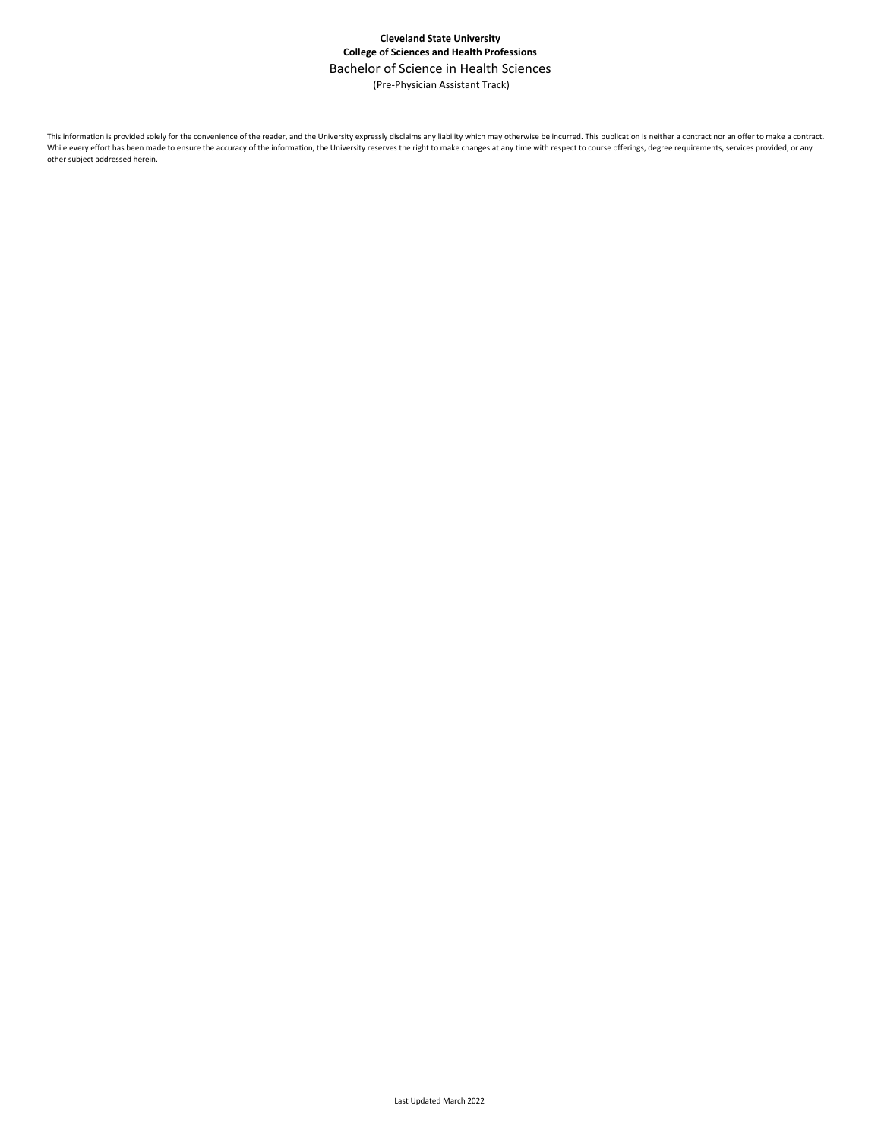## **Cleveland State University College of Sciences and Health Professions** Bachelor of Science in Health Sciences (Pre-Physician Assistant Track)

This information is provided solely for the convenience of the reader, and the University expressly disclaims any liability which may otherwise be incurred. This publication is neither a contract nor an offer to make a con While every effort has been made to ensure the accuracy of the information, the University reserves the right to make changes at any time with respect to course offerings, degree requirements, services provided, or any other subject addressed herein.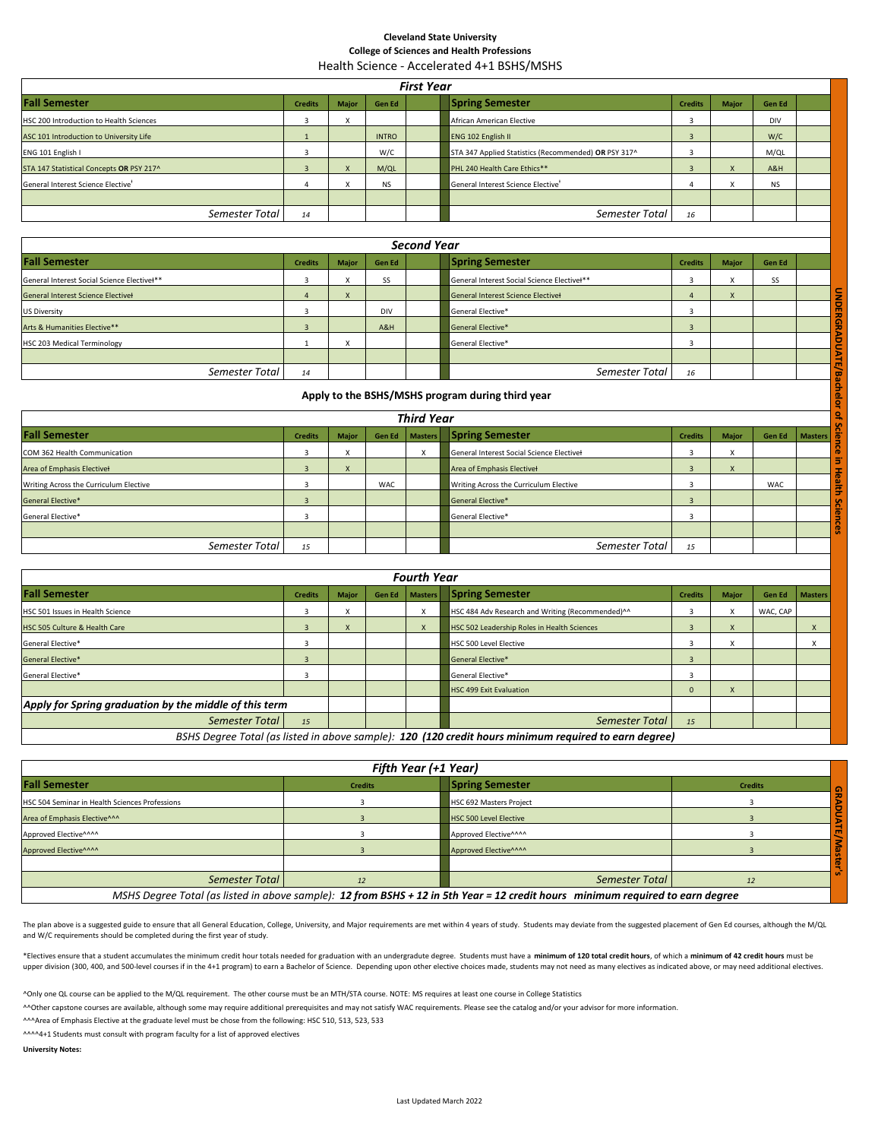#### **Cleveland State University College of Sciences and Health Professions** Health Science - Accelerated 4+1 BSHS/MSHS

| <b>First Year</b>                              |                |              |              |  |                                                      |                |              |            |  |
|------------------------------------------------|----------------|--------------|--------------|--|------------------------------------------------------|----------------|--------------|------------|--|
| <b>Fall Semester</b>                           | <b>Credits</b> | <b>Major</b> | Gen Ed       |  | <b>Spring Semester</b>                               | <b>Credits</b> | <b>Major</b> | Gen Ed     |  |
| HSC 200 Introduction to Health Sciences        |                | $\lambda$    |              |  | African American Elective                            |                |              | <b>DIV</b> |  |
| ASC 101 Introduction to University Life        |                |              | <b>INTRO</b> |  | ENG 102 English II                                   |                |              | W/C        |  |
| ENG 101 English I                              |                |              | W/C          |  | STA 347 Applied Statistics (Recommended) OR PSY 317^ |                |              | M/QL       |  |
| STA 147 Statistical Concepts OR PSY 217^       |                |              | M/QL         |  | PHL 240 Health Care Ethics**                         |                |              | A&H        |  |
| General Interest Science Elective <sup>+</sup> |                | $\checkmark$ | <b>NS</b>    |  | General Interest Science Elective <sup>+</sup>       |                |              | <b>NS</b>  |  |
|                                                |                |              |              |  |                                                      |                |              |            |  |
| Semester Total                                 | 14             |              |              |  | Semester Total                                       | 16             |              |            |  |

| Second Year                                 |                |              |            |  |                                             |                |       |        |  |
|---------------------------------------------|----------------|--------------|------------|--|---------------------------------------------|----------------|-------|--------|--|
| <b>Fall Semester</b>                        | <b>Credits</b> | <b>Major</b> | Gen Ed     |  | <b>Spring Semester</b>                      | <b>Credits</b> | Major | Gen Ed |  |
| General Interest Social Science Electivel** |                |              | SS         |  | General Interest Social Science Electivel** |                |       | SS     |  |
| <b>General Interest Science Electivel</b>   |                |              |            |  | <b>General Interest Science Electivel</b>   |                |       |        |  |
| <b>US Diversity</b>                         |                |              | <b>DIV</b> |  | General Elective*                           |                |       |        |  |
| Arts & Humanities Elective**                |                |              | A&H        |  | <b>General Elective*</b>                    |                |       |        |  |
| HSC 203 Medical Terminology                 |                |              |            |  | General Elective*                           |                |       |        |  |
|                                             |                |              |            |  |                                             |                |       |        |  |
| Semester Total                              | 14             |              |            |  | Semester Total                              | 16             |       |        |  |

### **Apply to the BSHS/MSHS program during third year**

| <b>General Interest Science Electivel</b>        | $\overline{a}$ | $\mathsf{x}$ |            |                | <b>General Interest Science Electivel</b> | $\Delta$                | $\overline{\mathsf{x}}$ |        |                |
|--------------------------------------------------|----------------|--------------|------------|----------------|-------------------------------------------|-------------------------|-------------------------|--------|----------------|
| <b>US Diversity</b>                              | 3              |              | DIV        |                | General Elective*                         | 3                       |                         |        |                |
| Arts & Humanities Elective**                     | $\overline{3}$ |              | A&H        |                | General Elective*                         | $\overline{\mathbf{z}}$ |                         |        |                |
| <b>HSC 203 Medical Terminology</b>               |                | X            |            |                | General Elective*                         | 3                       |                         |        |                |
|                                                  |                |              |            |                |                                           |                         |                         |        |                |
| Semester Total                                   | 14             |              |            |                | Semester Total                            | 16                      |                         |        | ш              |
| Apply to the BSHS/MSHS program during third year |                |              |            |                |                                           |                         |                         |        |                |
| <b>Third Year</b>                                |                |              |            |                |                                           |                         |                         |        |                |
| <b>Fall Semester</b>                             | <b>Credits</b> | <b>Major</b> | Gen Ed     | <b>Masters</b> | <b>Spring Semester</b>                    | <b>Credits</b>          | <b>Major</b>            | Gen Ed | <b>Masters</b> |
| COM 362 Health Communication                     | 3              | X            |            | X              | General Interest Social Science Electivel | 3                       | X                       |        |                |
| Area of Emphasis Electivel                       | $\overline{3}$ | $\mathsf{x}$ |            |                | Area of Emphasis Electivel                | $\overline{3}$          | X                       |        |                |
| Writing Across the Curriculum Elective           | 3              |              | <b>WAC</b> |                | Writing Across the Curriculum Elective    | 3                       |                         | WAC    |                |
| <b>General Elective*</b>                         | $\overline{3}$ |              |            |                | General Elective*                         | $\overline{3}$          |                         |        |                |
| General Elective*                                | 3              |              |            |                | General Elective*                         | 3                       |                         |        |                |
|                                                  |                |              |            |                |                                           |                         |                         |        |                |
| Semester Total                                   | 15             |              |            |                | Semester Total                            | 15                      |                         |        |                |

| <b>Fourth Year</b>                                     |                |              |        |                |                                                  |                |              |          |                  |
|--------------------------------------------------------|----------------|--------------|--------|----------------|--------------------------------------------------|----------------|--------------|----------|------------------|
| <b>Fall Semester</b>                                   | <b>Credits</b> | <b>Major</b> | Gen Ed | <b>Masters</b> | <b>Spring Semester</b>                           | <b>Credits</b> | <b>Major</b> |          | Gen Ed   Masters |
| HSC 501 Issues in Health Science                       |                |              |        |                | HSC 484 Adv Research and Writing (Recommended)^^ |                |              | WAC, CAP |                  |
| HSC 505 Culture & Health Care                          | в              |              |        |                | HSC 502 Leadership Roles in Health Sciences      |                |              |          |                  |
| General Elective*                                      |                |              |        |                | <b>HSC 500 Level Elective</b>                    |                |              |          |                  |
| <b>General Elective*</b>                               | -              |              |        |                | General Elective*                                |                |              |          |                  |
| General Elective*                                      |                |              |        |                | General Elective*                                |                |              |          |                  |
|                                                        |                |              |        |                | <b>HSC 499 Exit Evaluation</b>                   | $\Omega$       |              |          |                  |
| Apply for Spring graduation by the middle of this term |                |              |        |                |                                                  |                |              |          |                  |
| Semester Total                                         | 15             |              |        |                | Semester Total                                   | 15             |              |          |                  |
| _<br>$-0.000$                                          |                |              |        |                | .<br>.                                           |                |              |          |                  |

*BSHS Degree Total (as listed in above sample): 120 (120 credit hours minimum required to earn degree)*

| Fifth Year (+1 Year)                           |                |                                                                                                                                |                |  |  |  |
|------------------------------------------------|----------------|--------------------------------------------------------------------------------------------------------------------------------|----------------|--|--|--|
| <b>Fall Semester</b>                           | <b>Credits</b> | <b>Spring Semester</b>                                                                                                         | <b>Credits</b> |  |  |  |
| HSC 504 Seminar in Health Sciences Professions |                | <b>HSC 692 Masters Project</b>                                                                                                 |                |  |  |  |
| Area of Emphasis Elective^^^                   |                | <b>HSC 500 Level Elective</b>                                                                                                  |                |  |  |  |
| Approved Elective^^^^                          |                | Approved Elective^^^^                                                                                                          |                |  |  |  |
| Approved Elective^^^^                          |                | Approved Elective <sup>^^^^</sup>                                                                                              |                |  |  |  |
|                                                |                |                                                                                                                                |                |  |  |  |
| Semester Total                                 |                | Semester Total                                                                                                                 |                |  |  |  |
|                                                |                | MSHS Degree Total (as listed in above sample): 12 from BSHS + 12 in 5th Year = 12 credit hours minimum required to earn degree |                |  |  |  |

The plan above is a suggested guide to ensure that all General Education, College, University, and Major requirements are met within 4 years of study. Students may deviate from the suggested placement of Gen Ed courses, al and W/C requirements should be completed during the first year of study.

\*Electives ensure that a student accumulates the minimum credit hour totals needed for graduation with an undergradute degree. Students must have a minimum of 120 total credit hours, of which a minimum of 42 credit hours m upper division (300, 400, and 500-level courses if in the 4+1 program) to earn a Bachelor of Science. Depending upon other elective choices made, students may not need as many electives as indicated above, or may need addi

^Only one QL course can be applied to the M/QL requirement. The other course must be an MTH/STA course. NOTE: MS requires at least one course in College Statistics

AOther capstone courses are available, although some may require additional prerequisites and may not satisfy WAC requirements. Please see the catalog and/or your advisor for more information.

^^^Area of Emphasis Elective at the graduate level must be chose from the following: HSC 510, 513, 523, 533

^^^^4+1 Students must consult with program faculty for a list of approved electives

**University Notes:**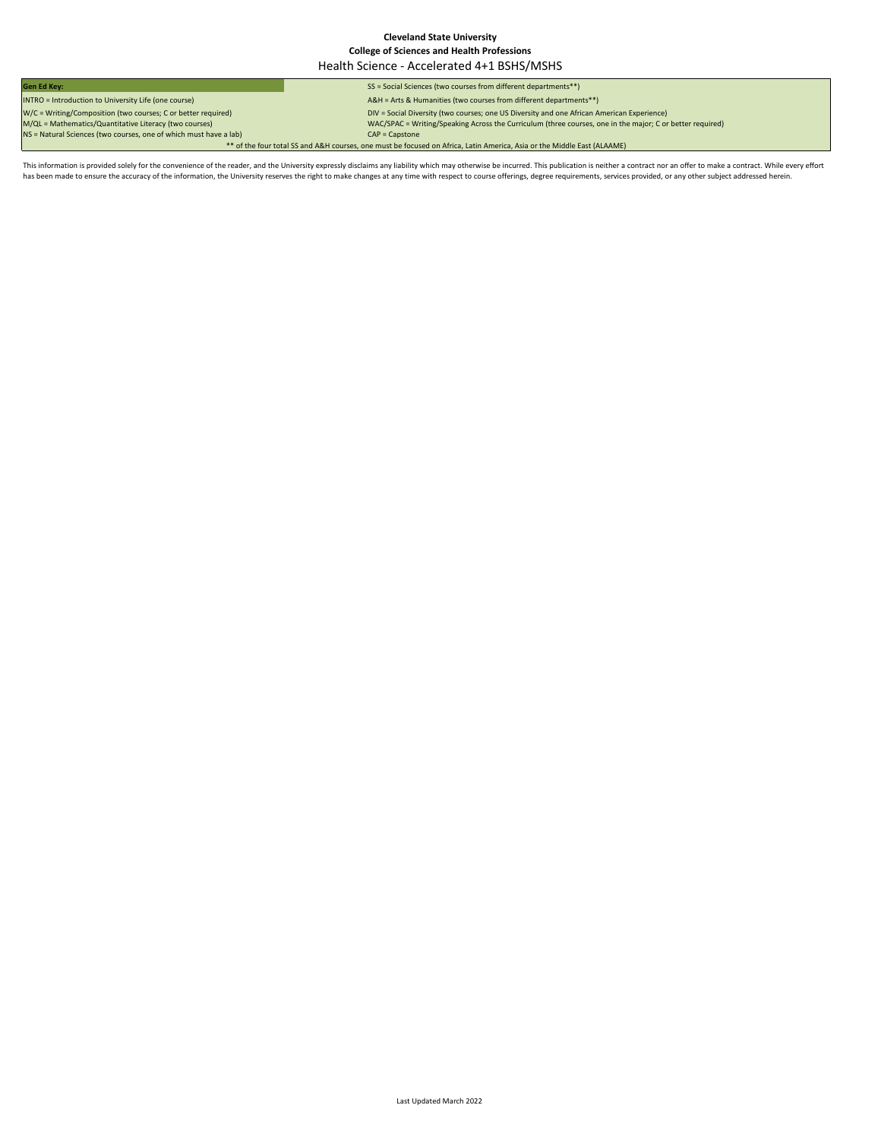#### **Cleveland State University College of Sciences and Health Professions** Health Science - Accelerated 4+1 BSHS/MSHS

**Gen Ed Key:** SS = Social Sciences (two courses from different departments\*\*) INTRO = Introduction to University Life (one course) A&H = Arts & Humanities (two courses from different departments\*\*) DIV = Social Diversity (two courses; one US Diversity and one African American Experience)  $WAC/SPAC = Writing/Speaking Across the Cur)um (three courses, one in the major; C or better required)  
 $CAP =$  Capstone$ W/C = Writing/Composition (two courses; C or better required)<br>M/QL = Mathematics/Quantitative Literacy (two courses)<br>NS = Natural Sciences (two courses, one of which must have a lab) \*\* of the four total SS and A&H courses, one must be focused on Africa, Latin America, Asia or the Middle East (ALAAME)

This information is provided solely for the convenience of the reader, and the University expressly disclaims any liability which may otherwise be incurred. This publication is neither a contract nor an offer to make a con has been made to ensure the accuracy of the information, the University reserves the right to make changes at any time with respect to course offerings, degree requirements, services provided, or any other subject addresse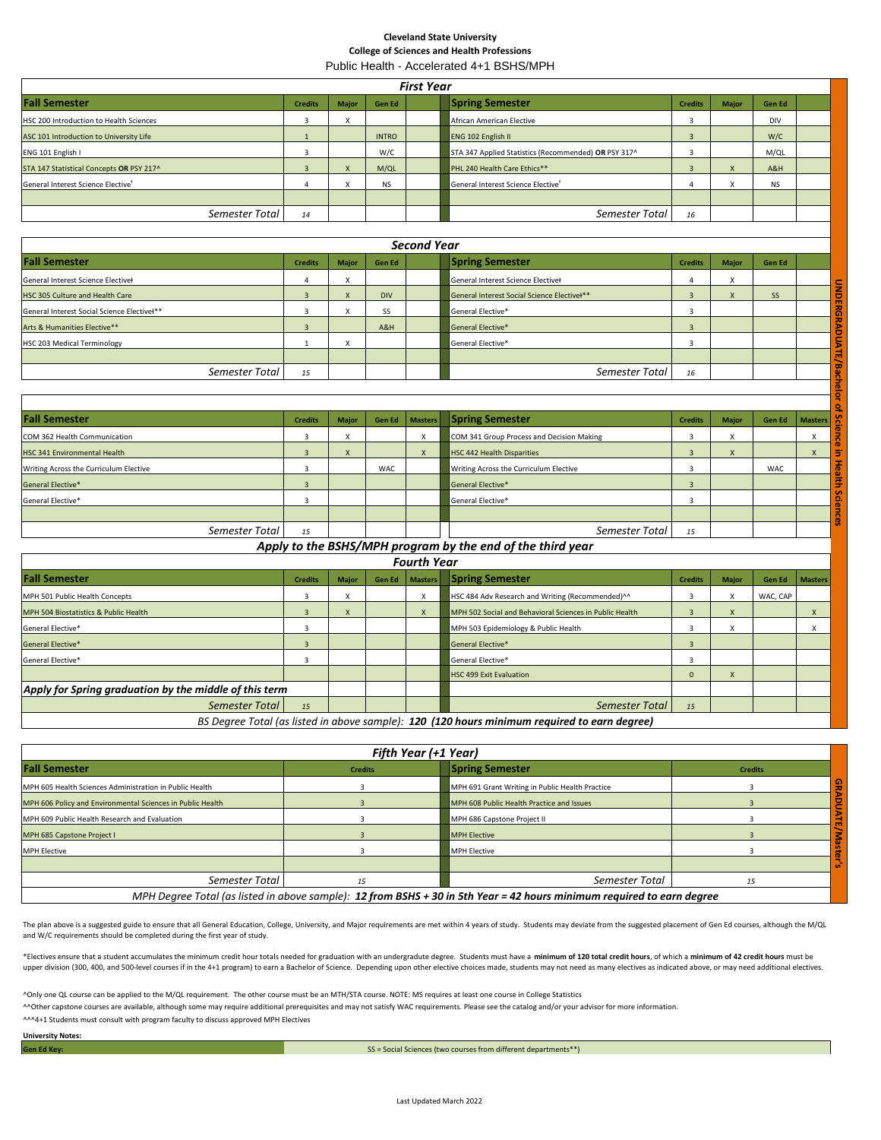# **Cleveland State University College of Sciences and Health Professions**

| Public Health - Accelerated 4+1 BSHS/MPH |  |
|------------------------------------------|--|
|------------------------------------------|--|

| <b>First Year</b>                              |                |              |               |                    |                                                      |                |              |            |  |
|------------------------------------------------|----------------|--------------|---------------|--------------------|------------------------------------------------------|----------------|--------------|------------|--|
| <b>Fall Semester</b>                           | <b>Credits</b> | <b>Major</b> | <b>Gen Ed</b> |                    | <b>Spring Semester</b>                               | <b>Credits</b> | <b>Major</b> | Gen Ed     |  |
| HSC 200 Introduction to Health Sciences        |                | л            |               |                    | African American Elective                            |                |              | <b>DIV</b> |  |
| ASC 101 Introduction to University Life        |                |              | <b>INTRO</b>  |                    | <b>ENG 102 English II</b>                            |                |              | W/C        |  |
| ENG 101 English I                              |                |              | W/C           |                    | STA 347 Applied Statistics (Recommended) OR PSY 317^ |                |              | M/QL       |  |
| STA 147 Statistical Concepts OR PSY 217^       |                |              | M/QL          |                    | PHL 240 Health Care Ethics**                         |                |              | A&H        |  |
| General Interest Science Elective <sup>†</sup> |                |              | <b>NS</b>     |                    | General Interest Science Elective <sup>+</sup>       |                |              | <b>NS</b>  |  |
|                                                |                |              |               |                    |                                                      |                |              |            |  |
| Semester Total                                 | 14             |              |               |                    | Semester Total                                       | 16             |              |            |  |
|                                                |                |              |               |                    |                                                      |                |              |            |  |
|                                                |                |              |               | <b>Second Year</b> |                                                      |                |              |            |  |

| <b>Fall Semester</b>                        | <b>Credits</b> | <b>Major</b> | Gen Ed     | <b>Spring Semester</b>                      | <b>Credits</b> | <b>Maior</b> | Gen Ed |  |
|---------------------------------------------|----------------|--------------|------------|---------------------------------------------|----------------|--------------|--------|--|
| General Interest Science Electivel          | 4              |              |            | General Interest Science Electivel          |                |              |        |  |
| HSC 305 Culture and Health Care             |                |              | <b>DIV</b> | General Interest Social Science Electivel** |                |              | SS     |  |
| General Interest Social Science Electivel** |                |              | SS         | General Elective*                           |                |              |        |  |
| Arts & Humanities Elective**                |                |              | A&H        | General Elective*                           |                |              |        |  |
| HSC 203 Medical Terminology                 |                |              |            | General Elective*                           |                |              |        |  |
|                                             |                |              |            |                                             |                |              |        |  |
| Semester Total                              | 15             |              |            | Semester Total                              | 16             |              |        |  |
|                                             |                |              |            |                                             |                |              |        |  |

| 4              | $\lambda$                 |            |                | General interest Science Electiver          | 4              | $\lambda$    |           |                |
|----------------|---------------------------|------------|----------------|---------------------------------------------|----------------|--------------|-----------|----------------|
| $\overline{3}$ |                           | <b>DIV</b> |                | General Interest Social Science Electivel** | $\overline{3}$ | X            | <b>SS</b> |                |
| 3              |                           | SS         |                | General Elective*                           | 3              |              |           |                |
| $\overline{3}$ |                           | A&H        |                | General Elective*                           | $\overline{3}$ |              |           |                |
|                | $\times$                  |            |                | General Elective*                           | 3              |              |           |                |
|                |                           |            |                |                                             |                |              |           |                |
| 15             |                           |            |                | Semester Total                              | 16             |              |           |                |
|                |                           |            |                |                                             |                |              |           |                |
|                |                           |            |                |                                             |                |              |           |                |
|                |                           |            |                |                                             |                |              |           |                |
| <b>Credits</b> | <b>Major</b>              | Gen Ed     | <b>Masters</b> | <b>Spring Semester</b>                      | <b>Credits</b> | <b>Major</b> | Gen Ed    | <b>Masters</b> |
| 3              | X                         |            | X              | COM 341 Group Process and Decision Making   | 3              | X            |           | X              |
| $\overline{3}$ | $\boldsymbol{\mathsf{x}}$ |            | $\mathsf{x}$   | <b>HSC 442 Health Disparities</b>           | $\overline{3}$ | $\mathsf{x}$ |           | $\mathsf{x}$   |
| 3              |                           | <b>WAC</b> |                | Writing Across the Curriculum Elective      | 3              |              | WAC       |                |
| $\overline{3}$ |                           |            |                | General Elective*                           | $\overline{3}$ |              |           |                |
| 3              |                           |            |                | General Elective*                           | 3              |              |           |                |
|                |                           |            |                |                                             |                |              |           |                |
|                | Semester Total            |            |                |                                             |                |              |           |                |

*Apply to the BSHS/MPH program by the end of the third year*

| <b>Fourth Year</b>                                     |                |              |               |                |                                                                                                |                |              |               |                |
|--------------------------------------------------------|----------------|--------------|---------------|----------------|------------------------------------------------------------------------------------------------|----------------|--------------|---------------|----------------|
| <b>Fall Semester</b>                                   | <b>Credits</b> | <b>Major</b> | <b>Gen Ed</b> | <b>Masters</b> | <b>Spring Semester</b>                                                                         | <b>Credits</b> | <b>Major</b> | <b>Gen Ed</b> | <b>Masters</b> |
| MPH 501 Public Health Concepts                         |                |              |               | X              | HSC 484 Adv Research and Writing (Recommended)^^                                               |                |              | WAC, CAP      |                |
| MPH 504 Biostatistics & Public Health                  |                |              |               |                | MPH 502 Social and Behavioral Sciences in Public Health                                        |                |              |               |                |
| General Elective*                                      |                |              |               |                | MPH 503 Epidemiology & Public Health                                                           |                |              |               |                |
| <b>General Elective*</b>                               |                |              |               |                | General Elective*                                                                              |                |              |               |                |
| General Elective*                                      |                |              |               |                | General Elective*                                                                              |                |              |               |                |
|                                                        |                |              |               |                | <b>HSC 499 Exit Evaluation</b>                                                                 |                | $\mathbf{A}$ |               |                |
| Apply for Spring graduation by the middle of this term |                |              |               |                |                                                                                                |                |              |               |                |
| Semester Total                                         | 15             |              |               |                | Semester Total                                                                                 | 15             |              |               |                |
|                                                        |                |              |               |                | BC Desues Tetal (as listed in share campela), 430 (430 hours minimum pencinaal to camp deputed |                |              |               |                |

*BS Degree Total (as listed in above sample): 120 (120 hours minimum required to earn degree)*

| Fifth Year (+1 Year)                                       |                |                                                                                                                        |                |  |  |  |  |
|------------------------------------------------------------|----------------|------------------------------------------------------------------------------------------------------------------------|----------------|--|--|--|--|
| <b>Fall Semester</b>                                       | <b>Credits</b> | <b>Spring Semester</b>                                                                                                 | <b>Credits</b> |  |  |  |  |
| MPH 605 Health Sciences Administration in Public Health    |                | MPH 691 Grant Writing in Public Health Practice                                                                        |                |  |  |  |  |
| MPH 606 Policy and Environmental Sciences in Public Health |                | MPH 608 Public Health Practice and Issues                                                                              |                |  |  |  |  |
| MPH 609 Public Health Research and Evaluation              |                | MPH 686 Capstone Project II                                                                                            |                |  |  |  |  |
| MPH 685 Capstone Project I                                 |                | <b>MPH Elective</b>                                                                                                    |                |  |  |  |  |
| <b>MPH Elective</b>                                        |                | <b>MPH Elective</b>                                                                                                    |                |  |  |  |  |
|                                                            |                |                                                                                                                        |                |  |  |  |  |
| Semester Total                                             | 75             | Semester Total                                                                                                         |                |  |  |  |  |
|                                                            |                | MPH Degree Total (as listed in above sample): 12 from BSHS + 30 in 5th Year = 42 hours minimum required to earn degree |                |  |  |  |  |

The plan above is a suggested guide to ensure that all General Education, College, University, and Major requirements are met within 4 years of study. Students may deviate from the suggested placement of Gen Ed courses, al and W/C requirements should be completed during the first year of study.

\*Electives ensure that a student accumulates the minimum credit hour totals needed for graduation with an undergradute degree. Students must have a minimum of 120 total credit hours, of which a minimum of 42 credit hours m upper division (300, 400, and 500-level courses if in the 4+1 program) to earn a Bachelor of Science. Depending upon other elective choices made, students may not need as many electives as indicated above, or may need addi

^Only one QL course can be applied to the M/QL requirement. The other course must be an MTH/STA course. NOTE: MS requires at least one course in College Statistics

AOther capstone courses are available, although some may require additional prerequisites and may not satisfy WAC requirements. Please see the catalog and/or your advisor for more information.

^^^4+1 Students must consult with program faculty to discuss approved MPH Electives

**University Notes: Gen Ed Key:**

SS = Social Sciences (two courses from different departments\*\*)